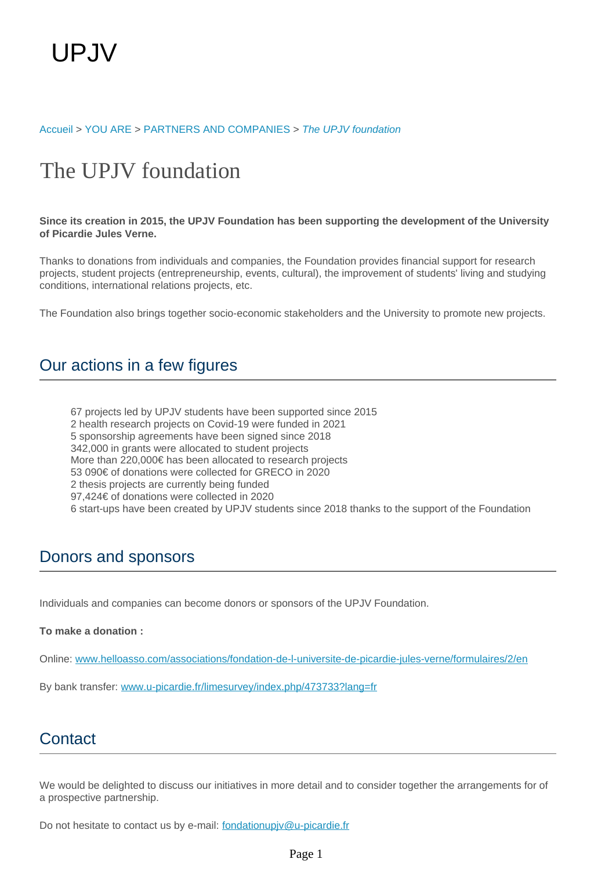#### [Accueil](https://welcome.u-picardie.fr/) > [YOU ARE](https://welcome.u-picardie.fr) > [PARTNERS AND COMPANIES](https://welcome.u-picardie.fr/you-are/partners-and-companies/) > [The UPJV foundation](https://welcome.u-picardie.fr/you-are/partners-and-companies/the-upjv-foundation/)

# The UPJV foundation

**Since its creation in 2015, the UPJV Foundation has been supporting the development of the University of Picardie Jules Verne.**

Thanks to donations from individuals and companies, the Foundation provides financial support for research projects, student projects (entrepreneurship, events, cultural), the improvement of students' living and studying conditions, international relations projects, etc.

The Foundation also brings together socio-economic stakeholders and the University to promote new projects.

### Our actions in a few figures

67 projects led by UPJV students have been supported since 2015 2 health research projects on Covid-19 were funded in 2021 5 sponsorship agreements have been signed since 2018 342,000 in grants were allocated to student projects More than 220,000€ has been allocated to research projects 53 090€ of donations were collected for GRECO in 2020 2 thesis projects are currently being funded 97,424€ of donations were collected in 2020 6 start-ups have been created by UPJV students since 2018 thanks to the support of the Foundation

### Donors and sponsors

Individuals and companies can become donors or sponsors of the UPJV Foundation.

#### **To make a donation :**

Online: [www.helloasso.com/associations/fondation-de-l-universite-de-picardie-jules-verne/formulaires/2/en](https://www.helloasso.com/associations/fondation-de-l-universite-de-picardie-jules-verne/formulaires/2/en)

By bank transfer: www.u-picardie.fr/limesurvey/index.php/473733?lang=fr

## **Contact**

We would be delighted to discuss our initiatives in more detail and to consider together the arrangements for of a prospective partnership.

Do not hesitate to contact us by e-mail: fondationupjv@u-picardie.fr